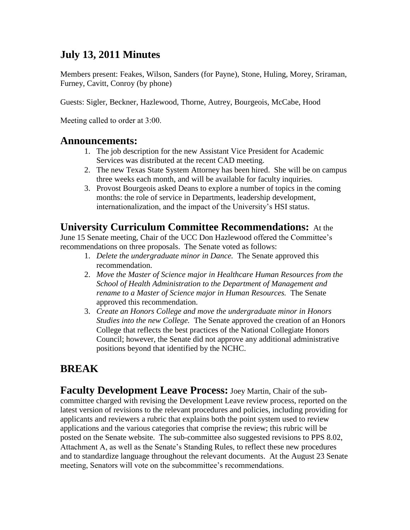### **July 13, 2011 Minutes**

Members present: Feakes, Wilson, Sanders (for Payne), Stone, Huling, Morey, Sriraman, Furney, Cavitt, Conroy (by phone)

Guests: Sigler, Beckner, Hazlewood, Thorne, Autrey, Bourgeois, McCabe, Hood

Meeting called to order at 3:00.

#### **Announcements:**

- 1. The job description for the new Assistant Vice President for Academic Services was distributed at the recent CAD meeting.
- 2. The new Texas State System Attorney has been hired. She will be on campus three weeks each month, and will be available for faculty inquiries.
- 3. Provost Bourgeois asked Deans to explore a number of topics in the coming months: the role of service in Departments, leadership development, internationalization, and the impact of the University's HSI status.

#### **University Curriculum Committee Recommendations:** At the

June 15 Senate meeting, Chair of the UCC Don Hazlewood offered the Committee's recommendations on three proposals. The Senate voted as follows:

- 1. *Delete the undergraduate minor in Dance.* The Senate approved this recommendation.
- 2. *Move the Master of Science major in Healthcare Human Resources from the School of Health Administration to the Department of Management and rename to a Master of Science major in Human Resources.* The Senate approved this recommendation.
- 3. *Create an Honors College and move the undergraduate minor in Honors Studies into the new College.* The Senate approved the creation of an Honors College that reflects the best practices of the National Collegiate Honors Council; however, the Senate did not approve any additional administrative positions beyond that identified by the NCHC.

# **BREAK**

**Faculty Development Leave Process:** Joey Martin, Chair of the subcommittee charged with revising the Development Leave review process, reported on the latest version of revisions to the relevant procedures and policies, including providing for applicants and reviewers a rubric that explains both the point system used to review applications and the various categories that comprise the review; this rubric will be posted on the Senate website. The sub-committee also suggested revisions to PPS 8.02, Attachment A, as well as the Senate's Standing Rules, to reflect these new procedures and to standardize language throughout the relevant documents. At the August 23 Senate meeting, Senators will vote on the subcommittee's recommendations.